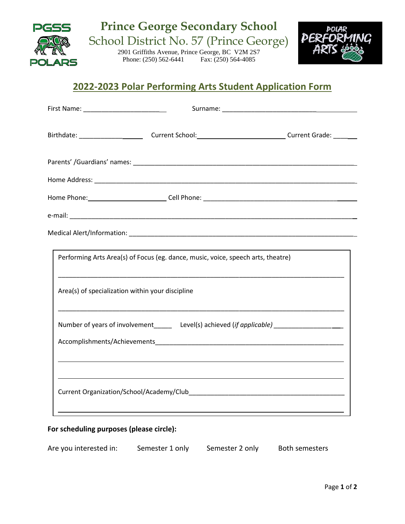

## **2022-2023 Polar Performing Arts Student Application Form**

| First Name: ____________________________                                         |                                                                                                                                                                                                                                               |
|----------------------------------------------------------------------------------|-----------------------------------------------------------------------------------------------------------------------------------------------------------------------------------------------------------------------------------------------|
|                                                                                  |                                                                                                                                                                                                                                               |
|                                                                                  |                                                                                                                                                                                                                                               |
|                                                                                  |                                                                                                                                                                                                                                               |
|                                                                                  |                                                                                                                                                                                                                                               |
|                                                                                  |                                                                                                                                                                                                                                               |
|                                                                                  |                                                                                                                                                                                                                                               |
| Performing Arts Area(s) of Focus (eg. dance, music, voice, speech arts, theatre) |                                                                                                                                                                                                                                               |
| Area(s) of specialization within your discipline                                 |                                                                                                                                                                                                                                               |
|                                                                                  | Number of years of involvement_________ Level(s) achieved (if applicable) _________________________                                                                                                                                           |
|                                                                                  |                                                                                                                                                                                                                                               |
|                                                                                  | <u> 1989 - Johann Stoff, deutscher Stoff, der Stoff, der Stoff, der Stoff, der Stoff, der Stoff, der Stoff, der S</u><br><u> 1989 - Johann Barn, mars and deutscher Stadt and deutscher Stadt and deutscher Stadt and deutscher Stadt and</u> |
|                                                                                  |                                                                                                                                                                                                                                               |
|                                                                                  |                                                                                                                                                                                                                                               |

## **For scheduling purposes (please circle):**

| Are you interested in: | Semester 1 only | Semester 2 only | Both semesters |
|------------------------|-----------------|-----------------|----------------|
|                        |                 |                 |                |